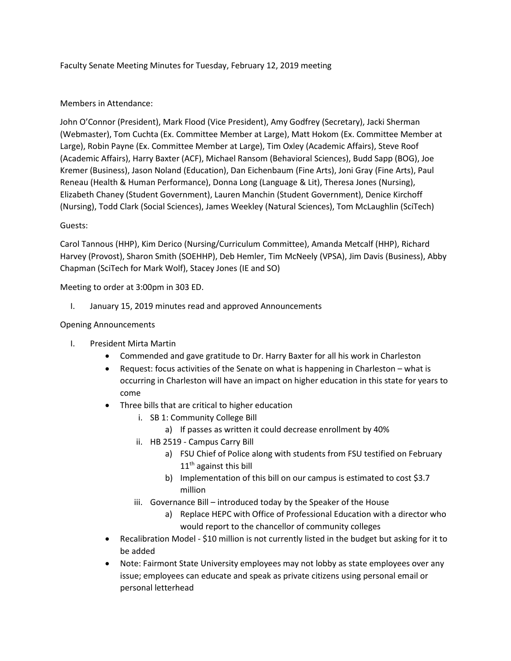Faculty Senate Meeting Minutes for Tuesday, February 12, 2019 meeting

#### Members in Attendance:

John O'Connor (President), Mark Flood (Vice President), Amy Godfrey (Secretary), Jacki Sherman (Webmaster), Tom Cuchta (Ex. Committee Member at Large), Matt Hokom (Ex. Committee Member at Large), Robin Payne (Ex. Committee Member at Large), Tim Oxley (Academic Affairs), Steve Roof (Academic Affairs), Harry Baxter (ACF), Michael Ransom (Behavioral Sciences), Budd Sapp (BOG), Joe Kremer (Business), Jason Noland (Education), Dan Eichenbaum (Fine Arts), Joni Gray (Fine Arts), Paul Reneau (Health & Human Performance), Donna Long (Language & Lit), Theresa Jones (Nursing), Elizabeth Chaney (Student Government), Lauren Manchin (Student Government), Denice Kirchoff (Nursing), Todd Clark (Social Sciences), James Weekley (Natural Sciences), Tom McLaughlin (SciTech)

#### Guests:

Carol Tannous (HHP), Kim Derico (Nursing/Curriculum Committee), Amanda Metcalf (HHP), Richard Harvey (Provost), Sharon Smith (SOEHHP), Deb Hemler, Tim McNeely (VPSA), Jim Davis (Business), Abby Chapman (SciTech for Mark Wolf), Stacey Jones (IE and SO)

Meeting to order at 3:00pm in 303 ED.

I. January 15, 2019 minutes read and approved Announcements

#### Opening Announcements

- I. President Mirta Martin
	- Commended and gave gratitude to Dr. Harry Baxter for all his work in Charleston
	- Request: focus activities of the Senate on what is happening in Charleston what is occurring in Charleston will have an impact on higher education in this state for years to come
	- Three bills that are critical to higher education
		- i. SB 1: Community College Bill
			- a) If passes as written it could decrease enrollment by 40%
		- ii. HB 2519 Campus Carry Bill
			- a) FSU Chief of Police along with students from FSU testified on February  $11<sup>th</sup>$  against this bill
			- b) Implementation of this bill on our campus is estimated to cost \$3.7 million
		- iii. Governance Bill introduced today by the Speaker of the House
			- a) Replace HEPC with Office of Professional Education with a director who would report to the chancellor of community colleges
	- Recalibration Model \$10 million is not currently listed in the budget but asking for it to be added
	- Note: Fairmont State University employees may not lobby as state employees over any issue; employees can educate and speak as private citizens using personal email or personal letterhead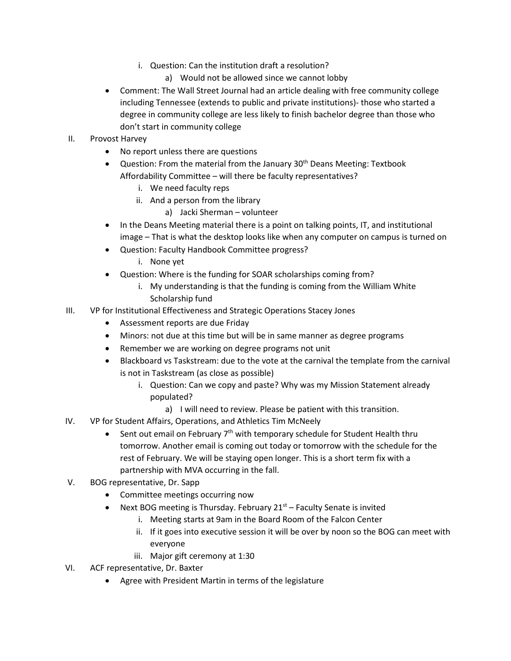- i. Question: Can the institution draft a resolution?
	- a) Would not be allowed since we cannot lobby
- Comment: The Wall Street Journal had an article dealing with free community college including Tennessee (extends to public and private institutions)- those who started a degree in community college are less likely to finish bachelor degree than those who don't start in community college
- II. Provost Harvey
	- No report unless there are questions
	- Question: From the material from the January  $30<sup>th</sup>$  Deans Meeting: Textbook Affordability Committee – will there be faculty representatives?
		- i. We need faculty reps
		- ii. And a person from the library
			- a) Jacki Sherman volunteer
	- In the Deans Meeting material there is a point on talking points, IT, and institutional image – That is what the desktop looks like when any computer on campus is turned on
	- Question: Faculty Handbook Committee progress?
		- i. None yet
	- Question: Where is the funding for SOAR scholarships coming from?
		- i. My understanding is that the funding is coming from the William White Scholarship fund
- III. VP for Institutional Effectiveness and Strategic Operations Stacey Jones
	- Assessment reports are due Friday
	- Minors: not due at this time but will be in same manner as degree programs
	- Remember we are working on degree programs not unit
	- Blackboard vs Taskstream: due to the vote at the carnival the template from the carnival is not in Taskstream (as close as possible)
		- i. Question: Can we copy and paste? Why was my Mission Statement already populated?
			- a) I will need to review. Please be patient with this transition.
- IV. VP for Student Affairs, Operations, and Athletics Tim McNeely
	- Sent out email on February 7<sup>th</sup> with temporary schedule for Student Health thru tomorrow. Another email is coming out today or tomorrow with the schedule for the rest of February. We will be staying open longer. This is a short term fix with a partnership with MVA occurring in the fall.
- V. BOG representative, Dr. Sapp
	- Committee meetings occurring now
	- Next BOG meeting is Thursday. February  $21<sup>st</sup>$  Faculty Senate is invited
		- i. Meeting starts at 9am in the Board Room of the Falcon Center
		- ii. If it goes into executive session it will be over by noon so the BOG can meet with everyone
		- iii. Major gift ceremony at 1:30
- VI. ACF representative, Dr. Baxter
	- Agree with President Martin in terms of the legislature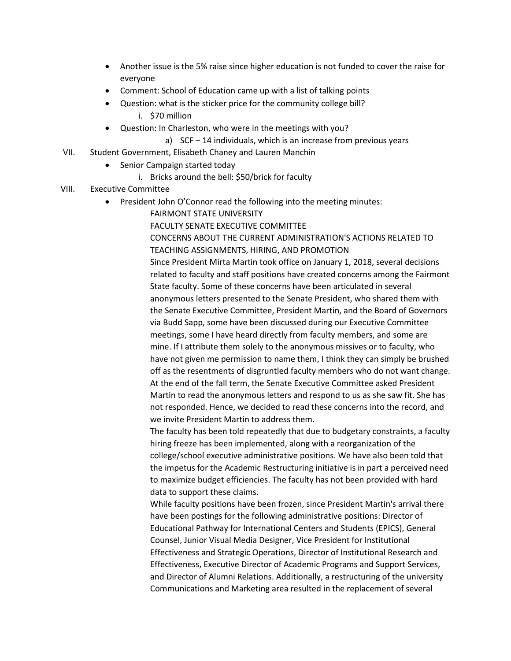- Another issue is the 5% raise since higher education is not funded to cover the raise for everyone
- Comment: School of Education came up with a list of talking points
- Question: what is the sticker price for the community college bill? i. \$70 million
- Question: In Charleston, who were in the meetings with you?
	- a) SCF 14 individuals, which is an increase from previous years
- VII. Student Government, Elisabeth Chaney and Lauren Manchin
	- Senior Campaign started today
		- i. Bricks around the bell: \$50/brick for faculty
- VIII. Executive Committee
	- President John O'Connor read the following into the meeting minutes:
		- FAIRMONT STATE UNIVERSITY

FACULTY SENATE EXECUTIVE COMMITTEE CONCERNS ABOUT THE CURRENT ADMINISTRATION'S ACTIONS RELATED TO TEACHING ASSIGNMENTS, HIRING, AND PROMOTION Since President Mirta Martin took office on January 1, 2018, several decisions related to faculty and staff positions have created concerns among the Fairmont State faculty. Some of these concerns have been articulated in several anonymous letters presented to the Senate President, who shared them with the Senate Executive Committee, President Martin, and the Board of Governors via Budd Sapp, some have been discussed during our Executive Committee meetings, some I have heard directly from faculty members, and some are mine. If I attribute them solely to the anonymous missives or to faculty, who have not given me permission to name them, I think they can simply be brushed off as the resentments of disgruntled faculty members who do not want change. At the end of the fall term, the Senate Executive Committee asked President Martin to read the anonymous letters and respond to us as she saw fit. She has not responded. Hence, we decided to read these concerns into the record, and we invite President Martin to address them.

The faculty has been told repeatedly that due to budgetary constraints, a faculty hiring freeze has been implemented, along with a reorganization of the college/school executive administrative positions. We have also been told that the impetus for the Academic Restructuring initiative is in part a perceived need to maximize budget efficiencies. The faculty has not been provided with hard data to support these claims.

While faculty positions have been frozen, since President Martin's arrival there have been postings for the following administrative positions: Director of Educational Pathway for International Centers and Students (EPICS), General Counsel, Junior Visual Media Designer, Vice President for Institutional Effectiveness and Strategic Operations, Director of Institutional Research and Effectiveness, Executive Director of Academic Programs and Support Services, and Director of Alumni Relations. Additionally, a restructuring of the university Communications and Marketing area resulted in the replacement of several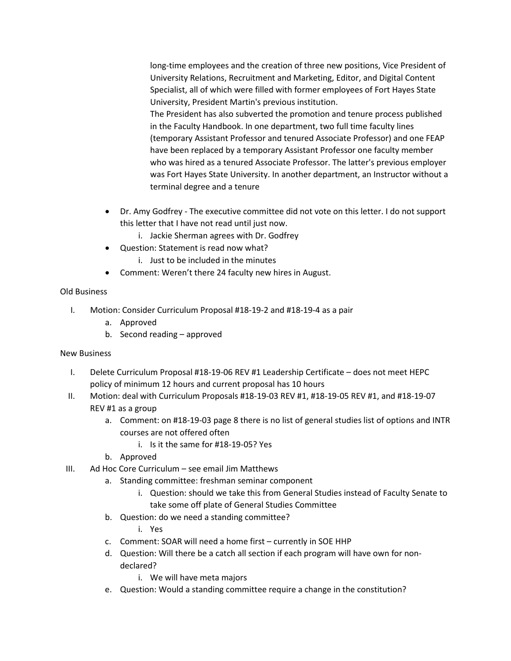long-time employees and the creation of three new positions, Vice President of University Relations, Recruitment and Marketing, Editor, and Digital Content Specialist, all of which were filled with former employees of Fort Hayes State University, President Martin's previous institution.

The President has also subverted the promotion and tenure process published in the Faculty Handbook. In one department, two full time faculty lines (temporary Assistant Professor and tenured Associate Professor) and one FEAP have been replaced by a temporary Assistant Professor one faculty member who was hired as a tenured Associate Professor. The latter's previous employer was Fort Hayes State University. In another department, an Instructor without a terminal degree and a tenure

- Dr. Amy Godfrey The executive committee did not vote on this letter. I do not support this letter that I have not read until just now.
	- i. Jackie Sherman agrees with Dr. Godfrey
- Question: Statement is read now what?
	- i. Just to be included in the minutes
- Comment: Weren't there 24 faculty new hires in August.

# Old Business

- I. Motion: Consider Curriculum Proposal #18-19-2 and #18-19-4 as a pair
	- a. Approved
	- b. Second reading approved

# New Business

- I. Delete Curriculum Proposal #18-19-06 REV #1 Leadership Certificate does not meet HEPC policy of minimum 12 hours and current proposal has 10 hours
- II. Motion: deal with Curriculum Proposals #18-19-03 REV #1, #18-19-05 REV #1, and #18-19-07 REV #1 as a group
	- a. Comment: on #18-19-03 page 8 there is no list of general studies list of options and INTR courses are not offered often
		- i. Is it the same for #18-19-05? Yes
	- b. Approved
- III. Ad Hoc Core Curriculum see email Jim Matthews
	- a. Standing committee: freshman seminar component
		- i. Question: should we take this from General Studies instead of Faculty Senate to take some off plate of General Studies Committee
	- b. Question: do we need a standing committee?
		- i. Yes
	- c. Comment: SOAR will need a home first currently in SOE HHP
	- d. Question: Will there be a catch all section if each program will have own for nondeclared?
		- i. We will have meta majors
	- e. Question: Would a standing committee require a change in the constitution?